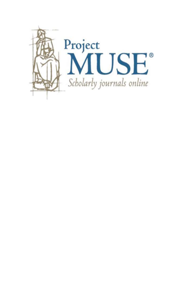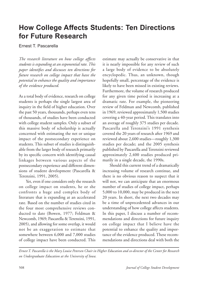# **How College Affects Students: Ten Directions for Future Research**

Ernest T. Pascarella

*The research literature on how college affects students is expanding at an exponential rate. This paper identifies and discusses ten directions for future research on college impact that have the potential to enhance the quality and importance of the evidence produced.*

As a total body of evidence, research on college students is perhaps the single largest area of inquiry in the field of higher education. Over the past 50 years, thousands, perhaps even tens of thousands, of studies have been conducted with college student samples. Only a subset of this massive body of scholarship is actually concerned with estimating the net or unique impact of the postsecondary experience on students. This subset of studies is distinguishable from the larger body of research primarily by its specific concern with identifying causal linkages between various aspects of the postsecondary experience and different dimensions of student development (Pascarella & Terenzini, 1991, 2005).

 Yet, even if one considers only the research on college impact on students, he or she confronts a huge and complex body of literature that is expanding at an accelerated rate. Based on the number of studies cited in the four most comprehensive reviews conducted to date (Bowen, 1977; Feldman & Newcomb, 1969; Pascarella & Terenzini, 1991, 2005), and allowing for some overlap, it would not be an exaggeration to estimate that somewhere between 6,000 and 7,000 studies of college impact have been conducted. This

estimate may actually be conservative in that it is nearly impossible for any review of such a large body of evidence to be absolutely encyclopedic. Thus, an unknown, though hopefully small, percentage of the evidence is likely to have been missed in existing reviews. Furthermore, the volume of research produced for any given time period is increasing at a dramatic rate. For example, the pioneering review of Feldman and Newcomb, published in 1969, reviewed approximately 1,500 studies covering a 40-year period. This translates into an average of roughly 375 studies per decade. Pascarella and Terenzini's 1991 synthesis covered the 20 years of research after 1969 and reviewed about 2,600 studies—roughly 1,300 studies per decade; and the 2005 synthesis published by Pascarella and Terenzini reviewed approximately 2,400 studies produced primarily in a single decade, the 1990s.

 Should this current trend of a dramatically increasing volume of research continue, and there is no obvious reason to suspect that it will not, we can anticipate that an enormous number of studies of college impact, perhaps 5,000 to 10,000, may be produced in the next 20 years. In short, the next two decades may be a time of unprecedented advances in our understanding of how college affects students. In this paper, I discuss a number of recommendations and directions for future inquiry on college impact that I believe have the potential to enhance the quality and importance of the evidence produced. These recommendations and directions deal with both the

*Ernest T. Pascarella is the Mary Louise Petersen Chair in Higher Education and co-director of the Center for Research on Undergraduate Education at the University of Iowa.*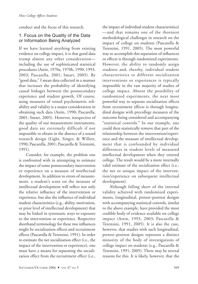conduct and the focus of this research.

# 1. Focus on the Quality of the Data or Information Being Analyzed

If we have learned anything from existing evidence on college impact, it is that good data trump almost any other consideration including the use of sophisticated statistical procedures (Astin, 1970a, 1970b, 1990, 1993, 2003; Pascarella, 2001; Smart, 2005). By "good data," I mean data collected in a manner that increases the probability of identifying causal linkages between the postsecondary experience and student growth. Of course, using measures of vetted psychometric reliability and validity is a major consideration in obtaining such data (Astin, 1990; Pascarella, 2001; Smart, 2005). However, irrespective of the quality of our measurement instruments, good data are extremely difficult if not impossible to obtain in the absence of a sound research design (Light, Singer, & Willett, 1990; Pascarella, 2001; Pascarella & Terenzini, 1991).

 Consider, for example, the problem one is confronted with in attempting to estimate the impact of some postsecondary intervention or experience on a measure of intellectual development. In addition to errors of measurement, a student's score on the measure of intellectual development will reflect not only the relative influence of the intervention or experience, but also the influence of individual student characteristics (e.g., ability, motivation, or prior level of intellectual development) that may be linked in systematic ways to exposure to the intervention or experience. Respective shorthand terminology for these two influences might be socialization effects and recruitment effects (Pascarella & Terenzini, 1991). In order to estimate the net socialization effect (i.e., the impact of the intervention or experience), one must have a means for separating the socialization effect from the recruitment effect (i.e.,

the impact of individual student characteristics) —and that remains one of the thorniest methodological challenges in research on the impact of college on students (Pascarella & Terenzini, 1991, 2005). The most powerful way to accomplish this separation of influences or effects is through randomized experiments. However, the ability to randomly assign students and, thereby, individual student characteristics to different socialization interventions or experiences is typically impossible in the vast majority of studies of college impact. Absent the possibility of randomized experiments, the next most powerful way to separate socialization effects from recruitment effects is through longitudinal designs with precollege measures of the outcome being considered and accompanying "statistical controls." In our example, one could then statistically remove that part of the relationship between the intervention/experience and the measure of intellectual development that is confounded by individual differences in student levels of measured intellectual development when they entered college. The result would be a more internally valid estimate of the socialization effect (i.e., the net or unique impact of the intervention/experience on subsequent intellectual development).

 Although falling short of the internal validity achieved with randomized experiments, longitudinal, pretest–posttest designs with accompanying statistical controls, similar to the above example, have provided the most credible body of evidence available on college impact (Astin, 1993, 2003; Pascarella & Terenzini, 1991, 2005). It is also the case, however, that studies with such longitudinal, pretest–posttest designs represent a distinct minority of the body of investigations of college impact on students (e.g., Pascarella & Terenzini, 1991, 2005). There may be several reasons for this. It is likely, however, that the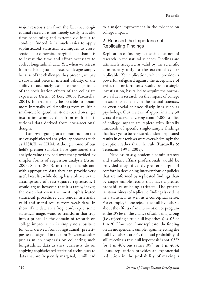major reasons stem from the fact that longitudinal research is not merely costly, it is also time consuming and extremely difficult to conduct. Indeed, it is much easier to apply sophisticated statistical techniques to crosssectional or otherwise marginal data than it is to invest the time and effort necessary to collect longitudinal data. Yet, when we retreat from such longitudinal research designs simply because of the challenges they present, we pay a substantial price in internal validity, or the ability to accurately estimate the magnitude of the socialization effects of the collegiate experience (Astin & Lee, 2003; Pascarella, 2001). Indeed, it may be possible to obtain more internally valid findings from multiple small-scale longitudinal studies based on single institution samples than from multi-institutional data derived from cross-sectional designs.

 I am *not* arguing for a moratorium on the use of sophisticated analytical approaches such as LISREL or HLM. Although some of our field's premier scholars have questioned the analytic value they add over that provided by simpler forms of regression analysis (Astin, 2003; Smart, 2005), in the right hands and with appropriate data they can provide very useful results, while doing less violence to the assumptions of least-squares regression. I would argue, however, that it is rarely, if ever, the case that even the most sophisticated statistical procedures can render internally valid and useful results from weak data. In short, if the data are a frog, don't expect some statistical magic wand to transform that frog into a prince. In the domain of research on college impact, there is simply no substitute for data derived from longitudinal, pretest– posttest designs. If in the next 20 years scholars put as much emphasis on collecting such longitudinal data as they currently do on applying sophisticated statistical techniques to data that are frequently marginal, it will lead

to a major improvement in the evidence on college impact.

# 2. Reassert the Importance of Replicating Findings

Replication of findings is the sine qua non of research in the natural sciences. Findings are ultimately accepted as valid by the scientific community only to the extent they are replicable. Yet replication, which provides a powerful safeguard against the acceptance of artifactual or fortuitous results from a single investigation, has failed to acquire the normative value in research on the impact of college on students as it has in the natural sciences, or even social science disciplines such as psychology. Our reviews of approximately 30 years of research covering about 5,000 studies of college impact are replete with literally hundreds of specific single-sample findings that have yet to be replicated. Indeed, replicated results in our reviews were overwhelmingly the exception rather than the rule (Pascarella & Terenzini, 1991, 2005).

 Needless to say, academic administrators and student affairs professionals would be provided a significantly greater margin of comfort in developing interventions or policies that are informed by replicated findings than by single sample results that have a greater probability of being artifacts. The greater trustworthiness of replicated findings is evident in a statistical as well as a conceptual sense. For example, if one rejects the null hypothesis about the effects of an intervention or program at the .05 level, the chance of still being wrong (i.e., rejecting a true null hypothesis) is .05 or 1 in 20. However, if one replicates the finding on an independent sample, again rejecting the null hypothesis at .05, the total probability of still rejecting a true null hypothesis is not .05/2 (or 1 in 40), but rather  $.05^2$  (or 1 in 400). Thus, replication provides an exponential reduction in the probability of making a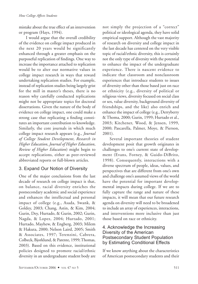mistake about the true effect of an intervention or program (Hays, 1994).

 I would argue that the overall credibility of the evidence on college impact produced in the next 20 years would be significantly enhanced through a greater emphasis on the purposeful replication of findings. One way to increase the importance attached to replication would be to alter our normative values in college impact research in ways that reward undertaking replication studies. For example, instead of replication studies being largely grist for the mill in master's theses, there is no reason why carefully conducted replications might not be appropriate topics for doctoral dissertations. Given the nature of the body of evidence on college impact, one could make a strong case that replicating a finding constitutes an important contribution to knowledge. Similarly, the core journals in which much college impact research appears (e.g., *Journal of College Student Development*, *Research in Higher Education*, *Journal of Higher Education*, *Review of Higher Education*) might begin to accept replications, either as peer-reviewed abbreviated reports or full-blown articles.

# 3. Expand Our Notion of Diversity

One of the major conclusions from the last decade of research on college impact is that, on balance, racial diversity enriches the postsecondary academic and social experience and enhances the intellectual and personal impact of college (e.g., Asada, Swank, & Goldey, 2003; Chang, Astin, & Kim, 2004; Gurin, Dey, Hurtado, & Gurin, 2002; Gurin, Nagda, & Lopez, 2004; Hurtado, 2001; Hurtado, Mayhew, & Engberg, 2003; Milem & Hakuta, 2000; Nelson Laird, 2005; Smith & Associates, 1997; Terenzini, Cabrera, Colbeck, Bjorklund, & Parente, 1999; Thomas, 2003). Based on this evidence, institutional policies designed to promote racial/ethnic diversity in an undergraduate student body are

not simply the projection of a "correct" political or ideological agenda, they have solid empirical support. Although the vast majority of research on diversity and college impact in the last decade has centered on the very visible topic of racial/ethnic diversity, this is certainly not the only type of diversity with the potential to enhance the impact of the undergraduate experience. There is nascent evidence to indicate that classroom and nonclassroom experiences that introduce students to issues of diversity other than those based just on race or ethnicity (e.g., diversity of political or religious views, diversity focused on social class or sex, value diversity, background diversity of friendships, and the like) also enrich and enhance the impact of college (e.g., Derryberry & Thoma, 2000; Gurin, 1999; Hurtado et al., 2003; Kitchener, Wood, & Jensen, 1999, 2000; Pascarella, Palmer, Moye, & Pierson, 2001).

 Several important theories of student development posit that growth originates in challenges to one's current state of development (Evans, Forney, & Guido-DiBrito, 1998). Consequently, interactions with a diverse spectrum of people, ideas, values, and perspectives that are different from one's own and challenge one's assumed views of the world have the potential for important developmental impacts during college. If we are to fully capture the range and nature of these impacts, it will mean that our future research agenda on diversity will need to be broadened to include an array of experiences, interactions, and interventions more inclusive than just those based on race or ethnicity.

### 4. Acknowledge the Increasing Diversity of the American Postsecondary Student Population by Estimating Conditional Effects

If we know anything about the characteristics of American postsecondary students and their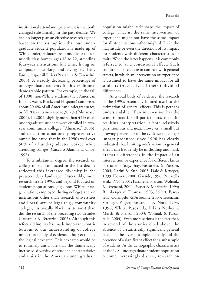institutional attendance patterns, it is that both changed substantially in the past decade. We can no longer plan an effective research agenda based on the assumption that our undergraduate student population is made up of White undergraduates from middle or uppermiddle class homes, ages 18 to 22, attending four-year institutions full time, living on campus, not working, and having few if any family responsibilities (Pascarella & Terenzini, 2005). A steadily decreasing percentage of undergraduate students fit this traditional demographic pattern. For example, in the fall of 1990, non-White students (i.e., American Indian, Asian, Black, and Hispanic) comprised about 20.6% of all American undergraduates; by fall 2002 this increased to 30.7% ("Almanac," 2005). In 2002, slightly more than 44% of all undergraduate students were enrolled in twoyear community colleges ("Almanac," 2005), and data from a nationally representative sample indicated that in the 1990s well over 50% of all undergraduates worked while attending college (Cuccaro-Alamin & Choy, 1998).

 To a substantial degree, the research on college impact conducted in the last decade reflected this increased diversity in the postsecondary landscape. Discernibly, more research in the 1990s and beyond focused on student populations (e.g., non-White, firstgeneration, employed during college) and on institutions other than research universities and liberal arts colleges (e.g., community colleges, historically Black institutions) than did the research of the preceding two decades (Pascarella & Terenzini, 2005). Although this refocused inquiry has made important contributions to our understanding of college impact, as a body of evidence it has yet to take the logical next step. This next step would be to routinely anticipate that the dramatically increased diversity of student characteristics and traits in the American undergraduate

population might itself shape the impact of college. That is, the same intervention or experience might not have the same impact for all students, but rather might differ in the magnitude or even the direction of its impact for students with different characteristics or traits. When the latter happens, it is commonly referred to as a conditional effect. Such conditional effects are in contrast with general effects, in which an intervention or experience is assumed to have the same impact for all students irrespective of their individual differences.

 As a total body of evidence, the research of the 1990s essentially limited itself to the estimation of general effects. This is perhaps understandable. If an intervention has the same impact for all participants, then the resulting interpretation is both relatively parsimonious and neat. However, a small but growing percentage of the evidence on college impact produced since 1990 has clearly indicated that limiting one's vision to general effects can frequently be misleading and mask dramatic differences in the impact of an intervention or experience for different kinds of students (e.g., Bray, Pascarella, & Pierson, 2004; Carini & Kuh, 2003; Dale & Krueger, 1999; Flowers, 2000; Garside, 1996; Pascarella et al., 1996, 2001; Pascarella, Pierson, Wolniak, & Terenzini, 2004; Posner & Markstein, 1994; Rumberger & Thomas, 1993; Seifert, Pascarella, Colangelo, & Assouline, 2005; Terenzini, Springer, Yaeger, Pascarella, & Nora, 1994, 1996; Whitt, Pascarella, Elkins Nesheim, Marth, & Pierson, 2003; Wolniak & Pascarella, 2004). Even more serious is the fact that, in several of the studies cited above, the absence of a statistically significant general effect in the overall sample actually hid the presence of a significant effect for a subsample of students. As the demographic characteristics of the U.S. undergraduate student population become increasingly diverse, research on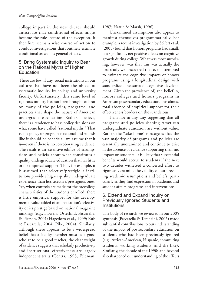college impact in the next decade should anticipate that conditional effects might become the rule instead of the exception. It therefore seems a wise course of action to conduct investigations that routinely estimate conditional as well as general effects.

### 5. Bring Systematic Inquiry to Bear on the Rational Myths of Higher Education

There are few, if any, social institutions in our culture that have not been the object of systematic inquiry by college and university faculty. Unfortunately, this same level of rigorous inquiry has not been brought to bear on many of the policies, programs, and practices that shape the nature of American undergraduate education. Rather, I believe, there is a tendency to base policy decisions on what some have called "rational myths." That is, if a policy or program is rational and sounds like it should be beneficial, we assume that it is—even if there is no corroborating evidence. The result is an extensive edifice of assumptions and beliefs about what constitutes a quality undergraduate education that has little or no empirical support. Thus, for example, it is assumed that selective/prestigious institutions provide a higher quality undergraduate experience than less selective/prestigious ones. Yet, when controls are made for the precollege characteristics of the students enrolled, there is little empirical support for the developmental value added of an institution's selectivity or its prestige based on national magazine rankings (e.g., Flowers, Osterlind, Pascarella, & Pierson, 2001; Hagedorn et al., 1999; Kuh & Pascarella, 2004; Pike, 2004). Similarly, although there appears to be a widespread belief that a faculty member must be a good scholar to be a good teacher, the clear weight of evidence suggests that scholarly productivity and instructional effectiveness are largely independent traits (Centra, 1993; Feldman,

1987; Hattie & Marsh, 1996).

 Unexamined assumptions also appear to manifest themselves programmatically. For example, a recent investigation by Seifert et al. (2005) found that honors programs had small, but significant, net positive effects on cognitive growth during college. What was most surprising, however, was that this was actually the first study we uncovered that even attempted to estimate the cognitive impacts of honors programs using a longitudinal design with standardized measures of cognitive development. Given the prevalence of, and belief in, honors colleges and honors programs in American postsecondary education, this almost total absence of empirical support for their effectiveness borders on the scandalous.

 I am not in any way suggesting that all programs and policies shaping American undergraduate education are without value. Rather, the "take home" message is that the vast majority of programs and policies are essentially unexamined and continue to exist in the absence of evidence supporting their net impact on students. It is likely that substantial benefits would accrue to students if the next two decades witnessed a concerted effort to rigorously examine the validity of our prevailing academic assumptions and beliefs, particularly as they find expression in academic and student affairs programs and interventions.

# 6. Extend and Expand Inquiry on Previously Ignored Students and Institutions

The body of research we reviewed in our 2005 synthesis (Pascarella & Terenzini, 2005) made substantial contributions to our understanding of the impact of postsecondary education on students who had been previously ignored (e.g., African-American, Hispanic, commuting students, working students, and the like). Similarly, the decade of the 1990s and beyond also sharpened our understanding of the effects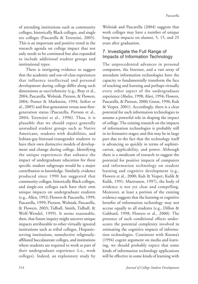of attending institutions such as community colleges, historically Black colleges, and single sex colleges (Pascarella & Terenzini, 2005). This is an important and positive trend in the research agenda on college impact that not only needs to be continued but also expanded to include additional student groups and institutional types.

 There is intriguing evidence to suggest that the academic and out-of-class experiences that influence intellectual and personal development during college differ along such dimensions as race/ethnicity (e.g., Bray et al., 2004; Pascarella, Wolniak, Pierson, & Flowers, 2004; Posner & Markstein, 1994; Seifert et al., 2005) and first-generation versus non-firstgeneration status (Pascarella, Pierson et al., 2004; Terenzini et al., 1996). Thus, it is plausible that we should expect generally unstudied student groups such as Native Americans, students with disabilities, and lesbian-gay-bisexual-transgender students to have their own distinctive models of development and change during college. Identifying the unique experiences that enhance the impact of undergraduate education for these specific student subgroups would be a major contribution to knowledge. Similarly, evidence produced since 1990 has suggested that community colleges, historically Black colleges, and single-sex colleges each have their own unique impacts on undergraduate students (e.g., Allen, 1992; Flowers & Pascarella, 1999; Pascarella, 1999; Pierson, Wolniak, Pascarella, & Flowers, 2003; Tidball, Smith, Tidball, & Wolf-Wendel, 1999). It seems reasonable, then, that future inquiry might uncover unique impacts attributable to other virtually ignored institutions such as tribal colleges, Hispanicserving institutions, nonselective religiouslyaffiliated baccalaureate colleges, and institutions where students are required to work as part of their undergraduate experience (i.e., work colleges). Indeed, an exploratory study by

Wolniak and Pascarella (2004) suggests that work colleges may have a number of unique long-term impacts on alumni, 5, 15, and 25 years after graduation.

# 7. Investigate the Full Range of Impacts of Information Technology

The unprecedented advances in personal computers, the Internet, and a vast array of attendant information technologies have the capacity to fundamentally transform the face of teaching and learning and perhaps virtually every other aspect of the undergraduate experience(Abeles, 1998; Alavi, 1994; Flowers, Pascarella, & Pierson, 2000; Green, 1996; Kuh & Vesper, 2001). Accordingly, there is a clear potential for such information technologies to assume a powerful role in shaping the impact of college.The existing research on the impacts of information technologies is probably still in its formative stages; and this may be in large part due to the fact that the technology itself is advancing so quickly in terms of sophistication, applicability, and power. Although there is a modicum of research to suggest the potential for positive impacts of computers and information technology on student learning and cognitive development (e.g., Flowers et al., 2000; Kuh & Vesper; Kulik & Kulik, 1991; Marttunen, 1997), the body of evidence is not yet clear and compelling. Moreover, at least a portion of the existing evidence suggests that the learning or cognitive benefits of information technology may not accrue equally to all students (e.g., Dillon & Gabbard, 1998; Flowers et al., 2000). The presence of such conditional effects underscores the potential complexity involved in estimating the cognitive impacts of information technologies. Consistent with Kozma's (1994) cogent argument on media and learning, we should probably expect that some kinds of information technology applications will be effective in some kinds of learning with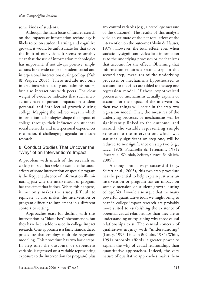some kinds of students.

 Although the main focus of future research on the impacts of information technology is likely to be on student learning and cognitive growth, it would be unfortunate for that to be the limit of our vision. It seems reasonably clear that the use of information technologies has important, if not always positive, implications for a wide range of student social and interpersonal interactions during college (Kuh & Vesper, 2001). These include not only interactions with faculty and administrators, but also interactions with peers. The clear weight of evidence indicates that such interactions have important impacts on student personal and intellectual growth during college. Mapping the indirect ways in which information technologies shape the impact of college through their influence on students' social networks and interpersonal experiences is a major, if challenging, agenda for future research.

#### 8. Conduct Studies That Uncover the "Why" of an Intervention's Impact

A problem with much of the research on college impact that seeks to estimate the causal effects of some intervention or special program is the frequent absence of information illuminating just why the intervention or program has the effect that it does. When this happens, it not only makes the study difficult to replicate, it also makes the intervention or program difficult to implement in a different context or setting.

 Approaches exist for dealing with this intervention-as-"black-box" phenomenon, but they have been seldom used in college impact research. One approach is a fairly standardized procedure that employs multiple regression modeling. This procedure has two basic steps. In step one, the outcome, or dependent variable, is regressed on a variable representing exposure to the intervention (or program) plus any control variables (e.g., a precollege measure of the outcome). The results of this analysis yield an estimate of the net total effect of the intervention on the outcome(Alwin & Hauser, 1975). However, the total effect, even when statistically significant, yields little information as to the underlying processes or mechanisms that account for the effect. Obtaining that information requires a second step. In this second step, measures of the underlying processes or mechanisms hypothesized to account for the effect are added to the step one regression model. If these hypothesized processes or mechanisms actually explain or account for the impact of the intervention, then two things will occur in the step two regression model. First, the measures of the underlying processes or mechanisms will be significantly linked to the outcome; and second, the variable representing simple exposure to the intervention, which was statistically significant on step one, will be reduced to nonsignificance on step two (e.g., Lacy, 1978; Pascarella & Terenzini, 1981; Pascarella, Wolniak, Seifert, Cruce, & Blaich, 2005).

 Although not always successful (e.g., Seifert et al., 2005), this two-step procedure has the potential to help explain just why an intervention or program has an impact on some dimension of student growth during college. Yet, I would also argue that the many powerful quantitative tools we might bring to bear in college impact research are probably more suited to establishing the existence of potential causal relationships than they are to understanding or explaining why those causal relationships exist. The central concern of qualitative inquiry with "understanding" (Lancy, 1993; Lincoln & Guba, 1985; Whitt, 1991) probably affords it greater power to explain the why of causal relationships than quantitative approaches. Indeed, the very nature of qualitative approaches makes them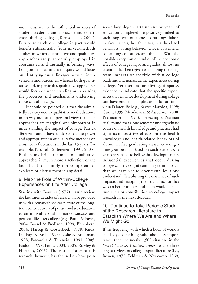more sensitive to the influential nuances of student academic and nonacademic experiences during college (Torres et al., 2004). Future research on college impact would benefit substantially from mixed-methods studies in which quantitative and qualitative approaches are purposefully employed in coordinated and mutually informing ways. Longitudinal quantitative inquiry would focus on identifying causal linkages between interventions and outcomes, whereas both quantitative and, in particular, qualitative approaches would focus on understanding or explaining the processes and mechanisms underlying those causal linkages.

 It should be pointed out that the admittedly cursory nod to qualitative methods above in no way indicates a personal view that such approaches are marginal or unimportant in understanding the impact of college. Patrick Terenzini and I have underscored the power and appropriateness of qualitative methods on a number of occasions in the last 15 years (for example, Pascarella & Terenzini, 1991, 2005). Rather, my brief treatment of qualitative approaches is much more a reflection of the fact that I am simply not competent to explicate or discuss them in any detail.

# 9. Map the Role of Within-College Experiences on Life After College

Starting with Bowen's (1977) classic review, the last three decades of research have provided us with a remarkably clear picture of the longterm contributions of postsecondary education to an individual's labor-market success and personal life after college (e.g., Baum & Payea, 2004; Boesel & Fredland, 1999; Ehrenberg, 2004; Hartog & Oosterbeek, 1998; Knox, Lindsay, & Kolb, 1993; Leslie & Brinkman, 1988; Pascarella & Terenzini, 1991, 2005; Paulsen, 1998; Perna, 2003, 2005; Rowley & Hurtado, 2003). The vast majority of this research, however, has focused on how postsecondary degree attainment or years of education completed are positively linked to such long-term outcomes as earnings, labormarket success, health status, health-related behaviors, voting behavior, civic involvement, continuing education, and the like. With the possible exception of studies of the economic effects of college major and grades, almost no attention has been given to mapping the longterm impacts of specific within-college academic and nonacademic experiences during college. Yet there is tantalizing, if sparse, evidence to indicate that the specific experiences that enhance development during college can have enduring implications for an individual's later life (e.g., Baxter Magolda, 1999; Gurin, 1999; Mentkowski & Associates, 2000; Pearman et al., 1997). For example, Pearman et al. found that a one semester undergraduate course on health knowledge and practices had significant positive effects on the health knowledge and health-related behaviors of alumni in five graduating classes covering a nine-year period. Based on such evidence, it seems reasonable to believe that developmentally influential experiences that occur during college can have significant long-term impacts that we have yet to document, let alone understand. Establishing the existence of such impacts and mapping their dynamics so that we can better understand them would constitute a major contribution to college impact research in the next decades.

#### 10. Continue to Take Periodic Stock of the Research Literature to Establish Where We Are and Where We Might Go

If the frequency with which a body of work is cited says something valid about its importance, then the nearly 1,500 citations in the *Social Sciences Citation Index* to the three largest reviews of college impact literature (i.e., Bowen, 1977; Feldman & Newcomb, 1969;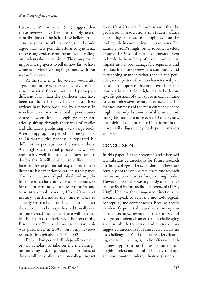Pascarella & Terenzini, 1991) suggest that these reviews have been reasonably useful contributions to the field. If we believe in the cumulative nature of knowledge, then I would argue that these periodic efforts to synthesize the existing evidence on the impact of college on students should continue.They can provide important signposts to tell us how far we have come and where we might go next with our research agenda.

 At the same time, however, I would also argue that future syntheses may have to take a somewhat different path and perhaps a different form than the syntheses that have been conducted so far. In the past, these reviews have been produced by a process in which one or two individuals spend somewhere between three and eight years systematically sifting through thousands of studies and ultimately publishing a very large book. After an appropriate period of time (e.g., 10 to 20 years), the process is repeated by different, or perhaps even the same authors. Although such a serial process has worked reasonably well in the past, I have serious doubts that it will continue to suffice in the face of the exponential expansion of the literature base mentioned earlier in this paper. The sheer volume of published and unpublished research has simply become too massive for one or two individuals to synthesize and turn into a book covering 10 or 20 years of inquiry. Furthermore, the time it takes to actually write a book of this magnitude after the research has been synthesized (usually two or more years) means that there will be a gap in the literature reviewed. For example, Pascarella and Terenzini's most recent synthesis was published in 2005, but only reviews research through about 2001-2002.

 Rather than periodically depending on one or two scholars to take on the increasingly intimidating task of producing a synthesis of the overall body of research on college impact

every 10 or 20 years, I would suggest that the professional associations in student affairs and/or higher education might assume the leading role in conducting such syntheses. For example, ACPA might bring together a select group of 10-20 scholars and commission them to break the huge body of research on college impact into more manageable segments and conduct literature reviews in a continuous and overlapping manner rather than in the periodic, serial pattern that has characterized past efforts. In support of this initiative, the major journals in the field might regularly devote specific portions of their space in each volume to comprehensive research reviews. In this manner, syntheses of the most current evidence might not only become available in a more timely fashion than once every 10 to 20 years, but might also be presented in a form that is more easily digested by both policy makers and scholars.

# **CONCLUSION**

In this paper, I have presented and discussed ten substantive directions for future research on how college affects students. These are certainly not the only directions future research in this important area of inquiry might take. However, given the existing body of evidence as described by Pascarella and Terenzini (1991, 2005), I believe these suggested directions for research speak to relevant methodological, conceptual, and content needs. Because it seeks to identify potential causal relationships in natural settings, research on the impact of college on students is an extremely challenging area in which to work, and many of my suggested directions for future research are no less challenging. Yet if the future offers daunting research challenges, it also offers a wealth of new opportunities for us to more thoroughly understand—and ultimately to shape and enrich—the undergraduate experience.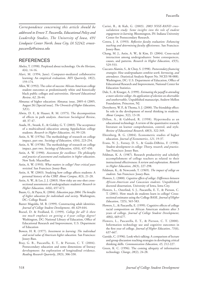*Correspondence concerning this article should be addressed to Ernest T. Pascarella, Educational Policy and Leadership Studies, The University of Iowa, 491 Lindquist Center North, Iowa City, IA 52242; ernestpascarella@uiowa.edu*

#### **REFERENCES**

- Abeles, T. (1998). Perplexed about technology. *On the Horizon*, *6*(4), 14-16.
- Alavi, M. (1994, June). Computer-mediated collaborative learning: An empirical evaluation. *MIS Quarterly*, *18*(2), 159174.
- Allen, W. (1992). The color of success: African-American college student outcomes at predominantly white and historically black public colleges and universities. *Harvard Educational*   $Review, 62, 26-44.$
- Almanac of higher education: Almanac issue, 2005–6 (2005, August 26) [Special issue]. *The Chronicle of Higher Education*, *52*(1).
- Alwin, D. F., & Hauser, R. M. (1975). The decomposition of effects in path analysis. *American Sociological Review*, *40*, 3747.
- Asada, H., Swank, E., & Goldey, G. T. (2003). The acceptance of a multicultural education among Appalachian college students. *Research in Higher Education*, 44, 99-120.
- Astin, A. W. (1970a). The methodology of research on college impact, part one. *Sociology of Education*, 43(4), 223-254.
- Astin, A. W. (1970b). The methodology of research on college impact, part two. *Sociology of Education*, 43(4), 437-450.
- Astin, A. W. (1990). *Assessment for excellence: The philosophy and practice of assessment and evaluation in higher education*. New York: Macmillan.
- Astin, A. W. (1993). *What matters in college? Four critical years revisited*. San Francisco: Jossey-Bass.
- Astin, A. W. (2003). Studying how college affects students: A personal history of the CIRP. *About Campus*, 8(3), 21-28.
- Astin, A. W., & Lee, J. J. (2003). How risky are one-shot crosssectional assessments of undergraduate students? *Research in Higher Education*,  $44(6)$ , 657-672.
- Baum, G., & Payea, K. (2004). *Education pays 2004: The benefits of higher education for individuals and society*. Washington, DC: College Board.
- Baxter Magolda, M. B. (1999). Constructing adult identities. *Journal of College Student Development*, 40, 629-644.
- Boesel, D. & Fredland, E. (1999). *College for all? Is there too much emphasis on getting a 4-year college degree?* Washington, DC: National Library of Education, Office of Educational Research and Improvement, U.S. Department of Education
- Bowen, H. R. (1977). *Investment in learning: The individual and social value of American higher education*. San Francisco: Jossey-Bass.
- Bray, G. B., Pascarella, E. T., & Pierson, C. T. (2004). Postsecondary education and some dimensions of literacy development: An exploration of longitudinal evidence. *Reading Research Quarterly*, 39(3), 306-330.
- Carini, R., & Kuh, G. (2003). *2003 NSSE-RAND crossvalidation study: Some insights into the role of student engagement in learning*. Bloomington, IN: Indiana University Center for Postsecondary Research.
- Centra, J. A. (1993). *Reflective faculty evaluation: Enhancing teaching and determining faculty effectiveness*. San Francisco: Jossey-Bass.
- Chang, M. J., Astin, A. W., & Kim, D. (2004). Cross-racial interaction among undergraduates: Some consequences, causes, and patterns. *Research in Higher Education*, *45*(5), 529-553.
- Cuccaro-Alamin, S., & Choy, S. (1998). *Postsecondary financing strategies: How undergraduates combine work, borrowing, and attendance*. (Statistical Analysis Report No. NCES 98-088). Washington, DC: U.S. Department of Education, Office of Educational Research and Improvement, National Center for Education Statistics.
- Dale, S., & Krueger, A. (1999). *Estimating the payoff to attending a more selective college: An application of selection on observables and unobservables*. Unpublished manuscript, Andrew Mellon Foundation, Princeton, NJ.
- Derryberry, W. P., & Thoma, S. J. (2000). The friendship effect: Its role in the development of moral thinking in students. *About Campus*, 5(2), 13-18.
- Dillon, A., & Gabbard, R. (1998). Hypermedia as an educational technology: A review of the quantitative research literature on learner comprehension, control, and style. *Review of Educational Research*, 68(3), 322-349.
- Ehrenberg, R. G. (2004). Econometric studies of higher education. *Journal of Econometrics*, 121, 19-37.
- Evans, N. J., Forney, D. S., & Guido-DiBrito, F. (1998). *Student development in college: Theory, research, and practice*. San Francisco: Jossey Bass.
- Feldman, K. A. (1987). Research productivity and scholarly accomplishment of college teachers as related to their instructional effectiveness: A review and exploration. *Research in Higher Education, 26*(3), 227-298.
- Feldman, K., & Newcomb, T. (1969). *The impact of college on students*. San Francisco: Jossey-Bass.
- Flowers, L. (2000). *Cognitive effects of college: Differences between African-American and Caucasian students.* Unpublished doctoral dissertation, University of Iowa, Iowa City.
- Flowers, L., Osterlind, S. J., Pascarella, E. T., & Pierson, C. T. (2001). How much do students learn in college? Crosssectional estimates using the College BASE. *Journal of Higher Education*, 72(5), 565-583.
- Flowers, L., & Pascarella, E. (1999). Cognitive effects of college racial composition on African American students after 3 years of college. *Journal of College Student Development*, *40*(6), 669-677.
- Flowers, L., Pascarella, E. T., & Pierson, C. T. (2000). Information technology use and cognitive outcomes in the first year of college. *Journal of Higher Education*, *71*(6), 637-667.
- Garside, C. (1996). Look who's talking: A comparison of lecture and group discussion teaching strategies in developing critical thinking skills. *Communication Education*, 45, 212-227.
- Green, K. C. (1996). The coming ubiquity of information technology. *Change*, 28(2), 24-28.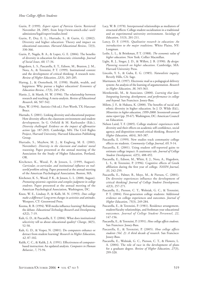- Gurin, P. (1999). *Expert report of Patricia Gurin*. Retrieved November 28, 2005, from http://www.umich.edu/~urel/ admissions/legal/expert/studies.html
- Gurin, P., Dey, E. L., Hurtado, S., & Gurin, G. (2002). Diversity and higher education: Theory and impact on educational outcomes. *Harvard Educational Review*, *72*(3), 330366.
- Gurin, P., Nagda, B. A., & Lopez, G. E. (2004). The benefits of diversity in education for democratic citizenship. *Journal of Social Issues*, *60*, 1734.
- Hagedorn, L. S., Pascarella, E. T., Edison, M., Braxton, J. M., Nora, A., & Terenzini, P. T. (1999). Institutional context and the development of critical thinking: A research note. *Review of Higher Education*, 22(3), 265-285.
- Hartog, J., & Oosterbeek, H. (1998). Health, wealth, and happiness: Why pursue a higher education? *Economics of Education Review*, 17(3), 245-256.
- Hattie, J., & Marsh, H. W. (1996). The relationship between research and teaching: A meta-analysis. *Review of Educational Research*, 66, 507-542.
- Hays, W. (1994). *Statistics* (5th ed.). Fort Worth, TX: Harcourt Brace.
- Hurtado, S. (2001). Linking diversity and educational purpose: How diversity affects the classroom environment and student development. In G. Orfield & M. Kurleander (Eds.), *Diversity challenged: Evidence on the impact of affirmative*  action (pp. 187-203). Cambridge, MA: The Civil Rights Project, Harvard University, Harvard Education Publishing Group.
- Hurtado, S., Mayhew, M. J., & Engberg, M. E. (2003, November). *Diversity in the classroom and students' moral reasoning*. Paper presented at the annual meeting of the Association for the Study of Higher Education, Portland, OR.
- Kitchener, K., Wood, P., & Jensen, L. (1999, August). *Curricular, co-curricular, and institutional influence on realworld problem solving*. Paper presented at the annual meeting of the American Psychological Association, Boston, MA.
- Kitchener, K. S., Wood, P. K., & Jensen, L. L. (2000, August). *Promoting epistemic cognition and complex judgment in college students*. Paper presented at the annual meeting of the American Psychological Association, Washington, DC.
- Knox, W. E., Lindsay, P., & Kolb, M. N. (1993). *Does college make a difference? Long-term changes in activities and attitudes*. Westport, CT: Greenwood Press.
- Kozma, R. B. (1994). Will media influence learning? Reframing the debate. *Educational Technology Research and Development*, *42*(2), 7-19.
- Kuh, G. D., & Pascarella, E. T. (2004). What does institutional selectivity tell us about educational quality? *Change*, *36*(5), 52-58.
- Kuh, G. D., & Vesper, N. (2001). Do computers enhance or detract from student learning? *Research in Higher Education*, *42*, 87-102.
- Kulik, C. C., & Kulik, J. A. (1991). Effectiveness of computerbased instruction: An updated analysis. *Computers in Human Behavior*, *7*, 7594.
- Lacy, W. B. (1978). Interpersonal relationships as mediators of structural effects: College student socialization in a traditional and an experimental university environment. *Sociology of Education*, 51(3), 201-211.
- Lancy, D. F. (1993). *Qualitative research in education: An introduction to the major traditions*. White Plains, NY: Longman.
- Leslie, L. L., & Brinkman, P. T. (1988). *The economic value of higher education*. New York: Collier Macmillan.
- Light, R. J., Singer, J. D., & Willett, J. B. (1990). *By design: Planning research on higher education*. Cambridge, MA: Harvard University Press.
- Lincoln, Y. S., & Guba, E. G. (1985). *Naturalistic inquiry*. Beverly Hills, CA: Sage.
- Marttunen, M. (1997). Electronic mail as a pedagogical delivery system: An analysis of the learning of argumentation. *Research in Higher Education*, 38, 345-363.
- Mentkowski, M., & Associates. (2000). *Learning that lasts: Integrating learning, development, and performance in college and beyond*. San Francisco: Jossey-Bass.
- Milem, J. F., & Hakuta, K. (2000). The benefits of racial and ethnic diversity in higher education. In J. D. Wilds (Ed.), *Minorities in higher education, 1999-2000: Seventeenth annual*  status report (pp. 39-67). Washington, DC: American Council on Education.
- Nelson Laird, T. F. (2005). College students' experiences with diversity and their effects on academic self-confidence, social agency, and disposition toward critical thinking. *Research in Higher Education*, 46(4), 365-387.
- Pascarella, E. (1999). New studies track community college effects on students. *Community College Journal*, 69, 9-14.
- Pascarella, E. (2001). Using student self-reported gains to estimate college impact: A cautionary tale. *Journal of College Student Development*, *42*(5), 488492.
- Pascarella, E., Edison, M., Whitt, E. J., Nora, A., Hagedorn, L. S., & Terenzini, P. (1996). Cognitive effects of Greek affiliation during the first year of college. *NASPA Journal*, 33, 242-259.
- Pascarella, E., Palmer, B., Moye, M., & Pierson, C. (2001). Do diversity experiences influence the development of critical thinking? *Journal of College Student Development*, *42*(3), 257-271.
- Pascarella, E., Pierson, C. T., Wolniak, G. C., & Terenzini, P. T. (2004). First-generation college students: Additional evidence on college experiences and outcomes. *Journal of Higher Education*, 75(3), 249-284.
- Pascarella, E., & Terenzini, P. (1981). Residence arrangement, student/faculty relationships, and freshman-year educational outcomes. *Journal of College Student Personnel*, *22*, 147-156.
- Pascarella, E., & Terenzini, P. (1991). *How college affects students*. San Francisco: Jossey-Bass.
- Pascarella, E., & Terenzini, P. (2005). *How college affects students (Vol. 2): A third decade of research*. San Francisco: Jossey-Bass.
- Pascarella, E., Wolniak, G. C., Pierson, C. T., & Flowers, L. A. (2004). The role of race in the development of plans for a graduate degree. *Review of Higher Education*, *27*(3), 299320*.*